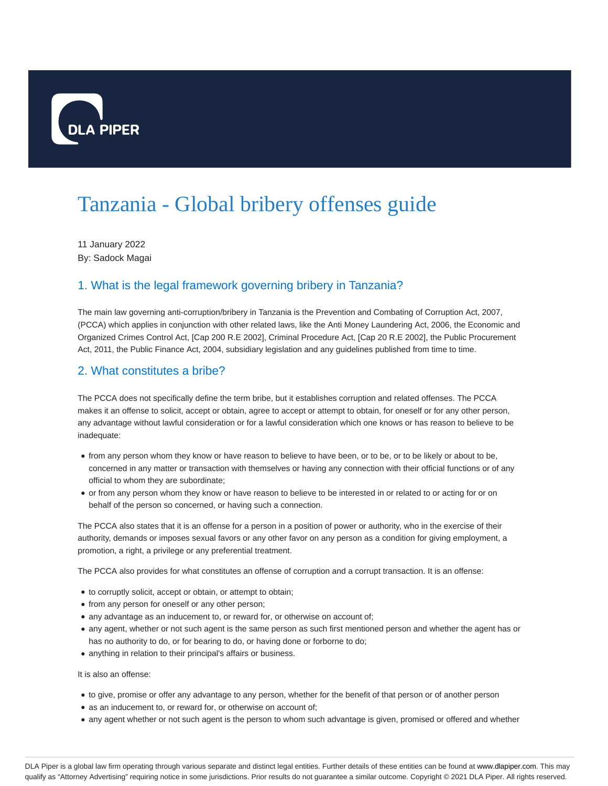

# Tanzania - Global bribery offenses guide

11 January 2022 By: Sadock Magai

# 1. What is the legal framework governing bribery in Tanzania?

The main law governing anti-corruption/bribery in Tanzania is the Prevention and Combating of Corruption Act, 2007, (PCCA) which applies in conjunction with other related laws, like the Anti Money Laundering Act, 2006, the Economic and Organized Crimes Control Act, [Cap 200 R.E 2002], Criminal Procedure Act, [Cap 20 R.E 2002], the Public Procurement Act, 2011, the Public Finance Act, 2004, subsidiary legislation and any guidelines published from time to time.

# 2. What constitutes a bribe?

The PCCA does not specifically define the term bribe, but it establishes corruption and related offenses. The PCCA makes it an offense to solicit, accept or obtain, agree to accept or attempt to obtain, for oneself or for any other person, any advantage without lawful consideration or for a lawful consideration which one knows or has reason to believe to be inadequate:

- from any person whom they know or have reason to believe to have been, or to be, or to be likely or about to be, concerned in any matter or transaction with themselves or having any connection with their official functions or of any official to whom they are subordinate;
- or from any person whom they know or have reason to believe to be interested in or related to or acting for or on behalf of the person so concerned, or having such a connection.

The PCCA also states that it is an offense for a person in a position of power or authority, who in the exercise of their authority, demands or imposes sexual favors or any other favor on any person as a condition for giving employment, a promotion, a right, a privilege or any preferential treatment.

The PCCA also provides for what constitutes an offense of corruption and a corrupt transaction. It is an offense:

- $\bullet$  to corruptly solicit, accept or obtain, or attempt to obtain;
- from any person for oneself or any other person;
- any advantage as an inducement to, or reward for, or otherwise on account of;
- any agent, whether or not such agent is the same person as such first mentioned person and whether the agent has or has no authority to do, or for bearing to do, or having done or forborne to do;
- anything in relation to their principal's affairs or business.

It is also an offense:

- to give, promise or offer any advantage to any person, whether for the benefit of that person or of another person
- as an inducement to, or reward for, or otherwise on account of;
- any agent whether or not such agent is the person to whom such advantage is given, promised or offered and whether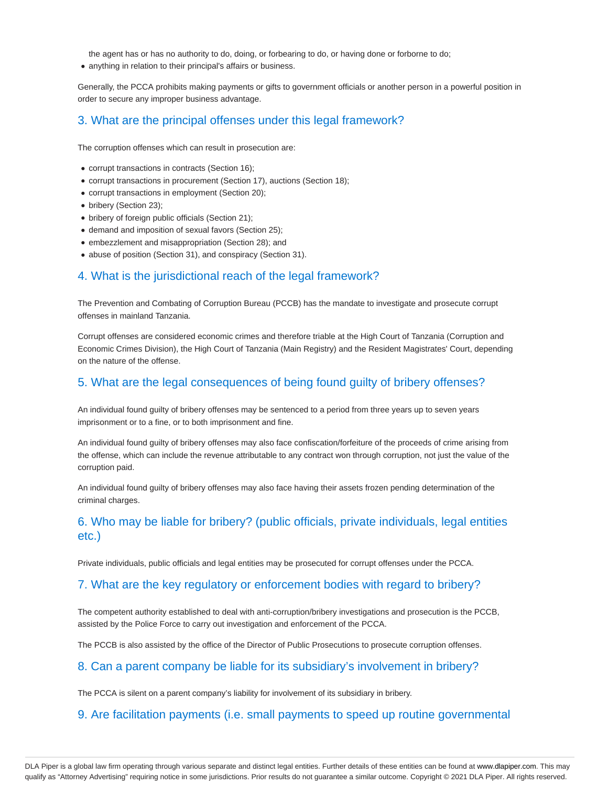the agent has or has no authority to do, doing, or forbearing to do, or having done or forborne to do;

anything in relation to their principal's affairs or business.

Generally, the PCCA prohibits making payments or gifts to government officials or another person in a powerful position in order to secure any improper business advantage.

## 3. What are the principal offenses under this legal framework?

The corruption offenses which can result in prosecution are:

- corrupt transactions in contracts (Section 16);
- corrupt transactions in procurement (Section 17), auctions (Section 18);
- corrupt transactions in employment (Section 20);
- bribery (Section 23);
- bribery of foreign public officials (Section 21);
- demand and imposition of sexual favors (Section 25);
- embezzlement and misappropriation (Section 28); and
- abuse of position (Section 31), and conspiracy (Section 31).

#### 4. What is the jurisdictional reach of the legal framework?

The Prevention and Combating of Corruption Bureau (PCCB) has the mandate to investigate and prosecute corrupt offenses in mainland Tanzania.

Corrupt offenses are considered economic crimes and therefore triable at the High Court of Tanzania (Corruption and Economic Crimes Division), the High Court of Tanzania (Main Registry) and the Resident Magistrates' Court, depending on the nature of the offense.

#### 5. What are the legal consequences of being found guilty of bribery offenses?

An individual found guilty of bribery offenses may be sentenced to a period from three years up to seven years imprisonment or to a fine, or to both imprisonment and fine.

An individual found guilty of bribery offenses may also face confiscation/forfeiture of the proceeds of crime arising from the offense, which can include the revenue attributable to any contract won through corruption, not just the value of the corruption paid.

An individual found guilty of bribery offenses may also face having their assets frozen pending determination of the criminal charges.

# 6. Who may be liable for bribery? (public officials, private individuals, legal entities etc.)

Private individuals, public officials and legal entities may be prosecuted for corrupt offenses under the PCCA.

#### 7. What are the key regulatory or enforcement bodies with regard to bribery?

The competent authority established to deal with anti-corruption/bribery investigations and prosecution is the PCCB, assisted by the Police Force to carry out investigation and enforcement of the PCCA.

The PCCB is also assisted by the office of the Director of Public Prosecutions to prosecute corruption offenses.

#### 8. Can a parent company be liable for its subsidiary's involvement in bribery?

The PCCA is silent on a parent company's liability for involvement of its subsidiary in bribery.

#### 9. Are facilitation payments (i.e. small payments to speed up routine governmental